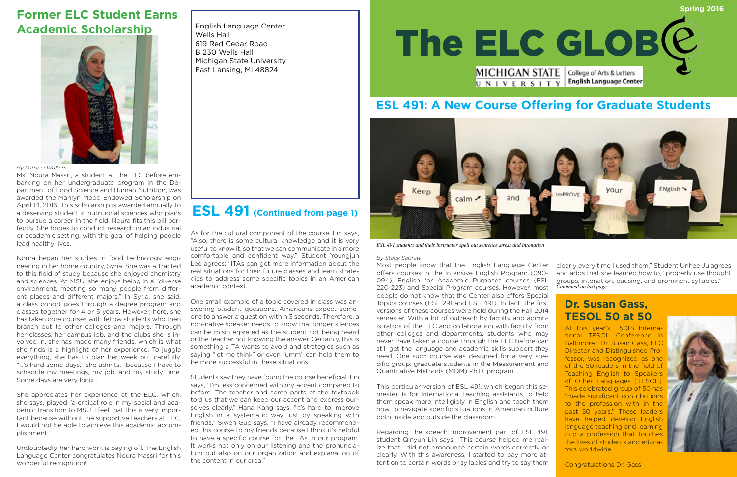Wells Hall 619 Red Cedar Road B 230 Wells Hall Michigan State University East Lansing, MI 48824

## **ESL 491: A New Course Offering for Graduate Students**

# **Former ELC Student Earns Academic Scholarship**



*By Patricia Walters*

Ms. Noura Massri, a student at the ELC before embarking on her undergraduate program in the Department of Food Science and Human Nutrition, was awarded the Marilyn Mood Endowed Scholarship on April 14, 2016. This scholarship is awarded annually to a deserving student in nutritional sciences who plans to pursue a career in the field. Noura fits this bill perfectly. She hopes to conduct research in an industrial or academic setting, with the goal of helping people lead healthy lives.

Noura began her studies in food technology engineering in her home country, Syria. She was attracted to this field of study because she enjoyed chemistry and sciences. At MSU, she enjoys being in a "diverse environment, meeting so many people from different places and different majors." In Syria, she said, a class cohort goes through a degree program and classes together for 4 or 5 years. However, here, she has taken core courses with fellow students who then branch out to other colleges and majors. Through her classes, her campus job, and the clubs she is involved in, she has made many friends, which is what she finds is a highlight of her experience. To juggle everything, she has to plan her week out carefully. "It's hard some days," she admits, "because I have to schedule my meetings, my job, and my study time. Some days are very long."



She appreciates her experience at the ELC, which, she says, played "a critical role in my social and academic transition to MSU. I feel that this is very important because without the supportive teachers at ELC, I would not be able to achieve this academic accomplishment."

Undoubtedly, her hard work is paying off. The English Language Center congratulates Noura Massri for this wonderful recognition!

### *By Stacy Sabraw*

This particular version of ESL 491, which began this semester, is for international teaching assistants to help them speak more intelligibly in English and teach them how to navigate specific situations in American culture both inside and outside the classroom.

Regarding the speech improvement part of ESL 491, student Qinyun Lin says, "This course helped me realize that I did not pronounce certain words correctly or clearly. With this awareness, I started to pay more attention to certain words or syllables and try to say them

Teaching English to Speakers of Other Languages (TESOL). This celebrated group of 50 has "made significant contributions to the profession with in the past 50 years." These leaders have helped develop English language teaching and learning into a profession that touches the lives of students and educators worldwide.



Most people know that the English Language Center offers courses in the Intensive English Program (090- 094), English for Academic Purposes courses (ESL 220-223) and Special Program courses. However, most people do not know that the Center also offers Special Topics courses (ESL 291 and ESL 491). In fact, the first versions of these courses were held during the Fall 2014 semester. With a lot of outreach by faculty and administrators of the ELC and collaboration with faculty from other colleges and departments, students who may never have taken a course through the ELC before can still get the language and academic skills support they need. One such course was designed for a very specific group: graduate students in the Measurement and Quantitative Methods (MQM) Ph.D. program. **Dr. Susan Gass, TESOL 50 at 50**  At this year's 50th International TESOL Conference in Baltimore, Dr. Susan Gass, ELC Director and Distinguished Professor, was recognized as one of the 50 leaders in the field of clearly every time I used them." Student Unhee Ju agrees and adds that she learned how to, "properly use thought groups, intonation, pausing, and prominent syllables." *Continued on last page* 

Congratulations Dr. Gass!

As for the cultural component of the course, Lin says, "Also, there is some cultural knowledge and it is very useful to know it, so that we can communicate in a more comfortable and confident way." Student Youngjun Lee agrees: "ITAs can get more information about the real situations for their future classes and learn strategies to address some specific topics in an American academic context."

One small example of a topic covered in class was answering student questions. Americans expect someone to answer a question within 3 seconds. Therefore, a non-native speaker needs to know that longer silences can be misinterpreted as the student not being heard or the teacher not knowing the answer. Certainly, this is something a TA wants to avoid and strategies such as saying "let me think" or even "umm" can help them to be more successful in these situations.

Students say they have found the course beneficial. Lin says, "I'm less concerned with my accent compared to before. The teacher and some parts of the textbook told us that we can keep our accent and express ourselves clearly." Hana Kang says, "It's hard to improve English in a systematic way just by speaking with friends." Siwen Guo says, "I have already recommended this course to my friends because I think it's helpful to have a specific course for the TAs in our program. It works not only on our listening and the pronunciation but also on our organization and explanation of the content in our area."

# **ESL 491 (Continued from page 1)**



*ESL 491 students and their instructor spell out sentence stress and intonation*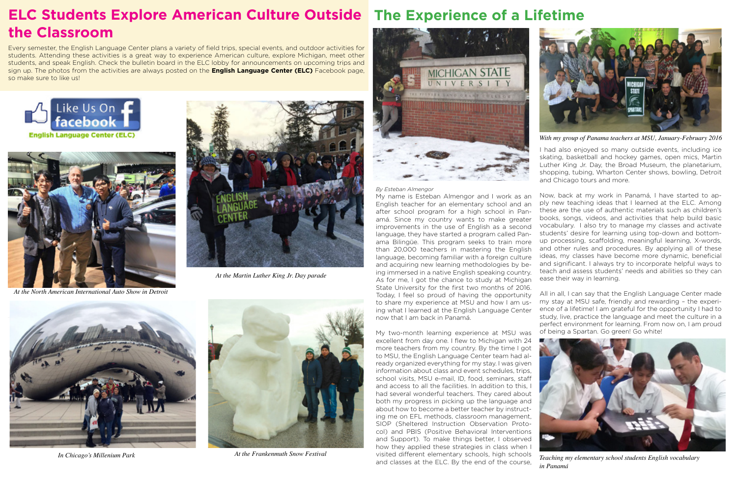

*In Chicago's Millenium Park*







*At the North American International Auto Show in Detroit*



*At the Martin Luther King Jr. Day parade*

# **ELC Students Explore American Culture Outside The Experience of a Lifetime the Classroom**

I had also enjoyed so many outside events, including ice skating, basketball and hockey games, open mics, Martin Luther King Jr. Day, the Broad Museum, the planetarium, shopping, tubing, Wharton Center shows, bowling, Detroit and Chicago tours and more.

Now, back at my work in Panamá, I have started to apply new teaching ideas that I learned at the ELC. Among these are the use of authentic materials such as children's books, songs, videos, and activities that help build basic vocabulary. I also try to manage my classes and activate students' desire for learning using top-down and bottomup processing, scaffolding, meaningful learning, X-words, and other rules and procedures. By applying all of these ideas, my classes have become more dynamic, beneficial and significant. I always try to incorporate helpful ways to teach and assess students' needs and abilities so they can ease their way in learning.

My two-month learning experience at MSU was excellent from day one. I flew to Michigan with 24 more teachers from my country. By the time I got to MSU, the English Language Center team had already organized everything for my stay. I was given information about class and event schedules, trips, school visits, MSU e-mail, ID, food, seminars, staff and access to all the facilities. In addition to this, I had several wonderful teachers. They cared about both my progress in picking up the language and about how to become a better teacher by instructing me on EFL methods, classroom management, SIOP (Sheltered Instruction Observation Protocol) and PBIS (Positive Behavioral Interventions and Support). To make things better, I observed how they applied these strategies in class when I visited different elementary schools, high schools and classes at the ELC. By the end of the course, At the Frankenmuth Snow Festival *Teaching my elementary schools Teaching my elementary school students English vocabulary Teaching my elementary school students English vocabulary* 

All in all, I can say that the English Language Center made my stay at MSU safe, friendly and rewarding – the experience of a lifetime! I am grateful for the opportunity I had to study, live, practice the language and meet the culture in a perfect environment for learning. From now on, I am proud of being a Spartan. Go green! Go white!

### *By Esteban Almengor*

My name is Esteban Almengor and I work as an English teacher for an elementary school and an after school program for a high school in Panamá. Since my country wants to make greater improvements in the use of English as a second language, they have started a program called Panama Bilingüe. This program seeks to train more than 20,000 teachers in mastering the English language, becoming familiar with a foreign culture and acquiring new learning methodologies by being immersed in a native English speaking country. As for me, I got the chance to study at Michigan State University for the first two months of 2016. Today, I feel so proud of having the opportunity to share my experience at MSU and how I am using what I learned at the English Language Center now that I am back in Panamá.



*in Panamá* 



*With my group of Panama teachers at MSU, January-February 2016* 

Every semester, the English Language Center plans a variety of field trips, special events, and outdoor activities for students. Attending these activities is a great way to experience American culture, explore Michigan, meet other students, and speak English. Check the bulletin board in the ELC lobby for announcements on upcoming trips and sign up. The photos from the activities are always posted on the **English Language Center (ELC)** Facebook page, so make sure to like us!

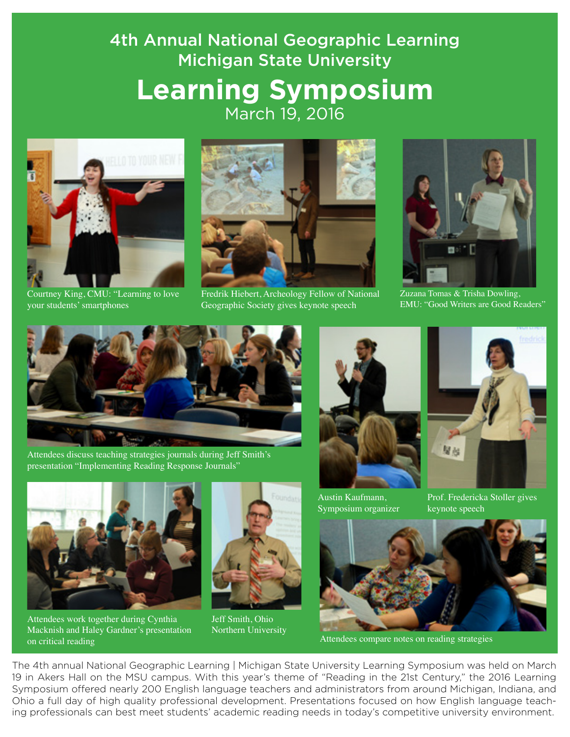# 4th Annual National Geographic Learning Michigan State University **Learning Symposium**  March 19, 2016



Courtney King, CMU: "Learning to love your students' smartphones



Fredrik Hiebert, Archeology Fellow of National Geographic Society gives keynote speech



Zuzana Tomas & Trisha Dowling, EMU: "Good Writers are Good Readers"



Attendees discuss teaching strategies journals during Jeff Smith's presentation "Implementing Reading Response Journals"



Attendees work together during Cynthia Macknish and Haley Gardner's presentation on critical reading



Jeff Smith, Ohio Northern University



Austin Kaufmann, Symposium organizer



Prof. Fredericka Stoller gives keynote speech



Attendees compare notes on reading strategies

The 4th annual National Geographic Learning | Michigan State University Learning Symposium was held on March 19 in Akers Hall on the MSU campus. With this year's theme of "Reading in the 21st Century," the 2016 Learning Symposium offered nearly 200 English language teachers and administrators from around Michigan, Indiana, and Ohio a full day of high quality professional development. Presentations focused on how English language teaching professionals can best meet students' academic reading needs in today's competitive university environment.